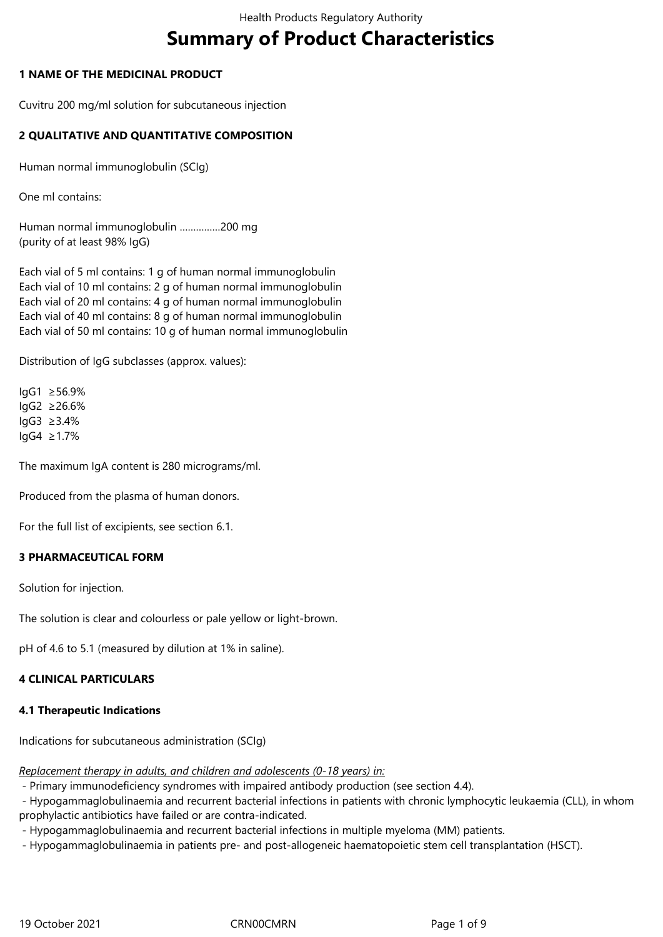# **Summary of Product Characteristics**

# **1 NAME OF THE MEDICINAL PRODUCT**

Cuvitru 200 mg/ml solution for subcutaneous injection

# **2 QUALITATIVE AND QUANTITATIVE COMPOSITION**

Human normal immunoglobulin (SCIg)

One ml contains:

Human normal immunoglobulin ……………200 mg (purity of at least 98% IgG)

Each vial of 5 ml contains: 1 g of human normal immunoglobulin Each vial of 10 ml contains: 2 g of human normal immunoglobulin Each vial of 20 ml contains: 4 g of human normal immunoglobulin Each vial of 40 ml contains: 8 g of human normal immunoglobulin Each vial of 50 ml contains: 10 g of human normal immunoglobulin

Distribution of IgG subclasses (approx. values):

IgG1 ≥56.9% IgG2 ≥26.6%  $IqG3 \geq 3.4\%$ IgG4 ≥1.7%

The maximum IgA content is 280 micrograms/ml.

Produced from the plasma of human donors.

For the full list of excipients, see section 6.1.

## **3 PHARMACEUTICAL FORM**

Solution for injection.

The solution is clear and colourless or pale yellow or light-brown.

pH of 4.6 to 5.1 (measured by dilution at 1% in saline).

## **4 CLINICAL PARTICULARS**

## **4.1 Therapeutic Indications**

Indications for subcutaneous administration (SCIg)

*Replacement therapy in adults, and children and adolescents (0‑18 years) in:*

- Primary immunodeficiency syndromes with impaired antibody production (see section 4.4).

 - Hypogammaglobulinaemia and recurrent bacterial infections in patients with chronic lymphocytic leukaemia (CLL), in whom prophylactic antibiotics have failed or are contra-indicated.

- Hypogammaglobulinaemia and recurrent bacterial infections in multiple myeloma (MM) patients.

- Hypogammaglobulinaemia in patients pre- and post-allogeneic haematopoietic stem cell transplantation (HSCT).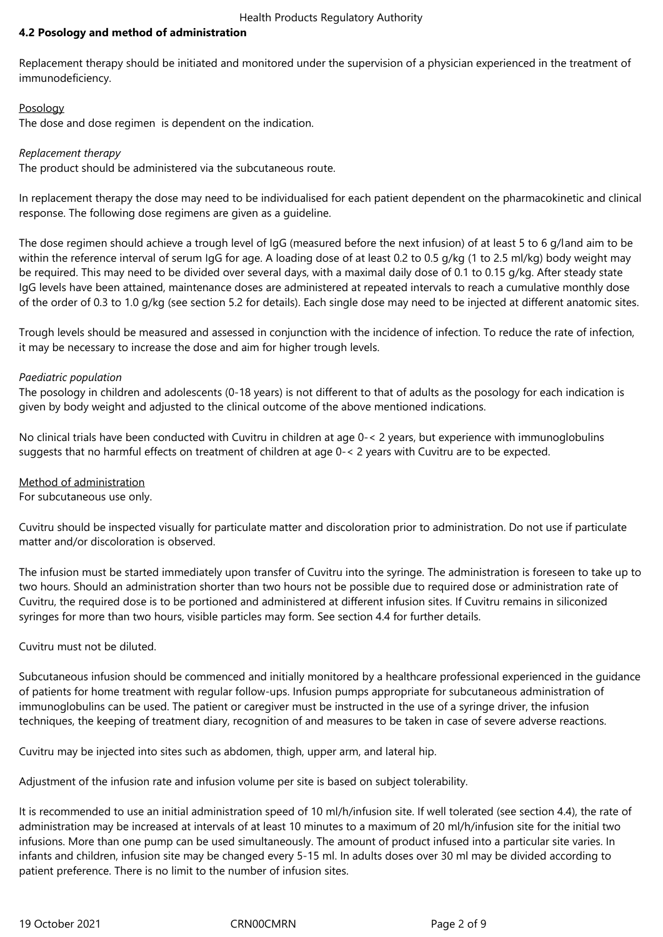# **4.2 Posology and method of administration**

Replacement therapy should be initiated and monitored under the supervision of a physician experienced in the treatment of immunodeficiency.

## Posology

The dose and dose regimen is dependent on the indication.

#### *Replacement therapy*

The product should be administered via the subcutaneous route.

In replacement therapy the dose may need to be individualised for each patient dependent on the pharmacokinetic and clinical response. The following dose regimens are given as a guideline.

The dose regimen should achieve a trough level of IgG (measured before the next infusion) of at least 5 to 6 g/land aim to be within the reference interval of serum IgG for age. A loading dose of at least 0.2 to 0.5 g/kg (1 to 2.5 ml/kg) body weight may be required. This may need to be divided over several days, with a maximal daily dose of 0.1 to 0.15 g/kg. After steady state IgG levels have been attained, maintenance doses are administered at repeated intervals to reach a cumulative monthly dose of the order of 0.3 to 1.0 g/kg (see section 5.2 for details). Each single dose may need to be injected at different anatomic sites.

Trough levels should be measured and assessed in conjunction with the incidence of infection. To reduce the rate of infection, it may be necessary to increase the dose and aim for higher trough levels.

#### *Paediatric population*

The posology in children and adolescents (0‑18 years) is not different to that of adults as the posology for each indication is given by body weight and adjusted to the clinical outcome of the above mentioned indications.

No clinical trials have been conducted with Cuvitru in children at age 0-< 2 years, but experience with immunoglobulins suggests that no harmful effects on treatment of children at age 0-< 2 years with Cuvitru are to be expected.

## Method of administration

For subcutaneous use only.

Cuvitru should be inspected visually for particulate matter and discoloration prior to administration. Do not use if particulate matter and/or discoloration is observed.

The infusion must be started immediately upon transfer of Cuvitru into the syringe. The administration is foreseen to take up to two hours. Should an administration shorter than two hours not be possible due to required dose or administration rate of Cuvitru, the required dose is to be portioned and administered at different infusion sites. If Cuvitru remains in siliconized syringes for more than two hours, visible particles may form. See section 4.4 for further details.

Cuvitru must not be diluted.

Subcutaneous infusion should be commenced and initially monitored by a healthcare professional experienced in the guidance of patients for home treatment with regular follow-ups. Infusion pumps appropriate for subcutaneous administration of immunoglobulins can be used. The patient or caregiver must be instructed in the use of a syringe driver, the infusion techniques, the keeping of treatment diary, recognition of and measures to be taken in case of severe adverse reactions.

Cuvitru may be injected into sites such as abdomen, thigh, upper arm, and lateral hip.

Adjustment of the infusion rate and infusion volume per site is based on subject tolerability.

It is recommended to use an initial administration speed of 10 ml/h/infusion site. If well tolerated (see section 4.4), the rate of administration may be increased at intervals of at least 10 minutes to a maximum of 20 ml/h/infusion site for the initial two infusions. More than one pump can be used simultaneously. The amount of product infused into a particular site varies. In infants and children, infusion site may be changed every 5-15 ml. In adults doses over 30 ml may be divided according to patient preference. There is no limit to the number of infusion sites.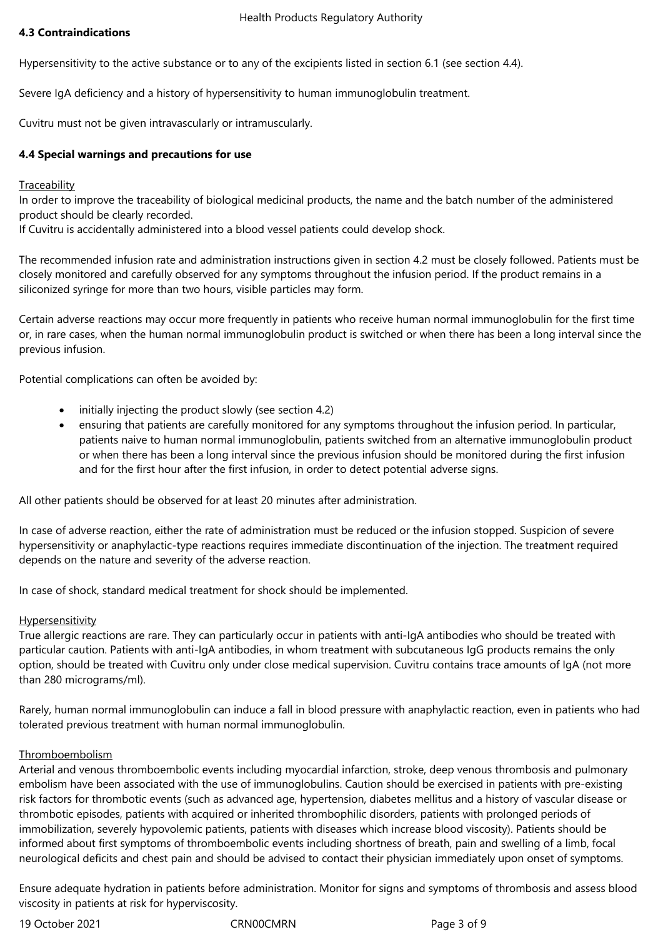#### Health Products Regulatory Authority

# **4.3 Contraindications**

Hypersensitivity to the active substance or to any of the excipients listed in section 6.1 (see section 4.4).

Severe IgA deficiency and a history of hypersensitivity to human immunoglobulin treatment.

Cuvitru must not be given intravascularly or intramuscularly.

# **4.4 Special warnings and precautions for use**

#### **Traceability**

In order to improve the traceability of biological medicinal products, the name and the batch number of the administered product should be clearly recorded.

If Cuvitru is accidentally administered into a blood vessel patients could develop shock.

The recommended infusion rate and administration instructions given in section 4.2 must be closely followed. Patients must be closely monitored and carefully observed for any symptoms throughout the infusion period. If the product remains in a siliconized syringe for more than two hours, visible particles may form.

Certain adverse reactions may occur more frequently in patients who receive human normal immunoglobulin for the first time or, in rare cases, when the human normal immunoglobulin product is switched or when there has been a long interval since the previous infusion.

Potential complications can often be avoided by:

- initially injecting the product slowly (see section 4.2)
- ensuring that patients are carefully monitored for any symptoms throughout the infusion period. In particular, patients naive to human normal immunoglobulin, patients switched from an alternative immunoglobulin product or when there has been a long interval since the previous infusion should be monitored during the first infusion and for the first hour after the first infusion, in order to detect potential adverse signs.

All other patients should be observed for at least 20 minutes after administration.

In case of adverse reaction, either the rate of administration must be reduced or the infusion stopped. Suspicion of severe hypersensitivity or anaphylactic-type reactions requires immediate discontinuation of the injection. The treatment required depends on the nature and severity of the adverse reaction.

In case of shock, standard medical treatment for shock should be implemented.

## Hypersensitivity

True allergic reactions are rare. They can particularly occur in patients with anti-IgA antibodies who should be treated with particular caution. Patients with anti-IgA antibodies, in whom treatment with subcutaneous IgG products remains the only option, should be treated with Cuvitru only under close medical supervision. Cuvitru contains trace amounts of IgA (not more than 280 micrograms/ml).

Rarely, human normal immunoglobulin can induce a fall in blood pressure with anaphylactic reaction, even in patients who had tolerated previous treatment with human normal immunoglobulin.

## Thromboembolism

Arterial and venous thromboembolic events including myocardial infarction, stroke, deep venous thrombosis and pulmonary embolism have been associated with the use of immunoglobulins. Caution should be exercised in patients with pre-existing risk factors for thrombotic events (such as advanced age, hypertension, diabetes mellitus and a history of vascular disease or thrombotic episodes, patients with acquired or inherited thrombophilic disorders, patients with prolonged periods of immobilization, severely hypovolemic patients, patients with diseases which increase blood viscosity). Patients should be informed about first symptoms of thromboembolic events including shortness of breath, pain and swelling of a limb, focal neurological deficits and chest pain and should be advised to contact their physician immediately upon onset of symptoms.

Ensure adequate hydration in patients before administration. Monitor for signs and symptoms of thrombosis and assess blood viscosity in patients at risk for hyperviscosity.

19 October 2021 CRN00CMRN Page 3 of 9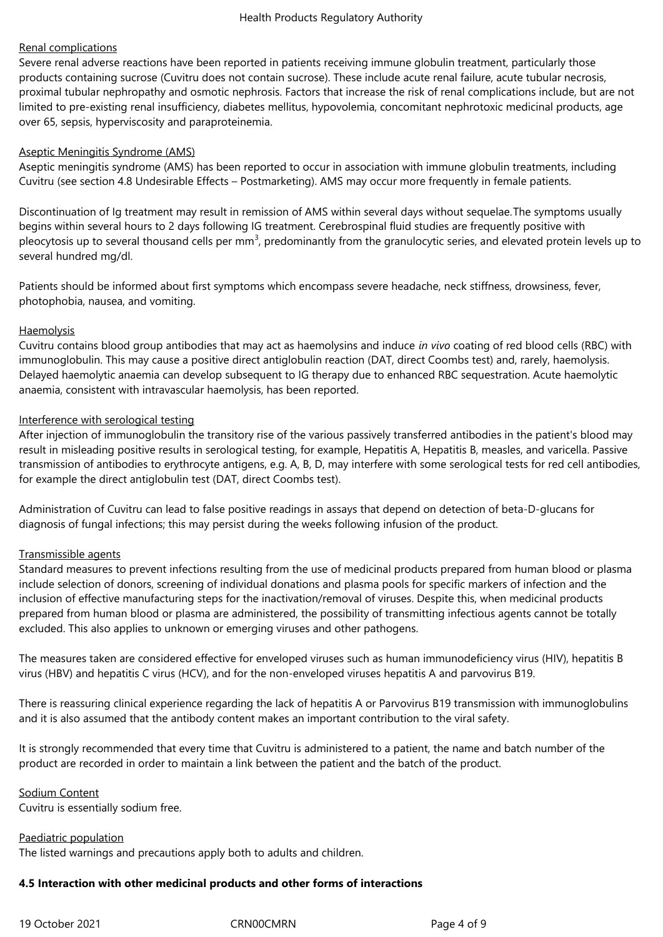# Renal complications

Severe renal adverse reactions have been reported in patients receiving immune globulin treatment, particularly those products containing sucrose (Cuvitru does not contain sucrose). These include acute renal failure, acute tubular necrosis, proximal tubular nephropathy and osmotic nephrosis. Factors that increase the risk of renal complications include, but are not limited to pre-existing renal insufficiency, diabetes mellitus, hypovolemia, concomitant nephrotoxic medicinal products, age over 65, sepsis, hyperviscosity and paraproteinemia.

## Aseptic Meningitis Syndrome (AMS)

Aseptic meningitis syndrome (AMS) has been reported to occur in association with immune globulin treatments, including Cuvitru (see section 4.8 Undesirable Effects – Postmarketing). AMS may occur more frequently in female patients.

Discontinuation of Ig treatment may result in remission of AMS within several days without sequelae.The symptoms usually begins within several hours to 2 days following IG treatment. Cerebrospinal fluid studies are frequently positive with pleocytosis up to several thousand cells per mm<sup>3</sup>, predominantly from the granulocytic series, and elevated protein levels up to several hundred mg/dl.

Patients should be informed about first symptoms which encompass severe headache, neck stiffness, drowsiness, fever, photophobia, nausea, and vomiting.

# **Haemolysis**

Cuvitru contains blood group antibodies that may act as haemolysins and induce *in vivo* coating of red blood cells (RBC) with immunoglobulin. This may cause a positive direct antiglobulin reaction (DAT, direct Coombs test) and, rarely, haemolysis. Delayed haemolytic anaemia can develop subsequent to IG therapy due to enhanced RBC sequestration. Acute haemolytic anaemia, consistent with intravascular haemolysis, has been reported.

# Interference with serological testing

After injection of immunoglobulin the transitory rise of the various passively transferred antibodies in the patient's blood may result in misleading positive results in serological testing, for example, Hepatitis A, Hepatitis B, measles, and varicella. Passive transmission of antibodies to erythrocyte antigens, e.g. A, B, D, may interfere with some serological tests for red cell antibodies, for example the direct antiglobulin test (DAT, direct Coombs test).

Administration of Cuvitru can lead to false positive readings in assays that depend on detection of beta-D-glucans for diagnosis of fungal infections; this may persist during the weeks following infusion of the product.

# Transmissible agents

Standard measures to prevent infections resulting from the use of medicinal products prepared from human blood or plasma include selection of donors, screening of individual donations and plasma pools for specific markers of infection and the inclusion of effective manufacturing steps for the inactivation/removal of viruses. Despite this, when medicinal products prepared from human blood or plasma are administered, the possibility of transmitting infectious agents cannot be totally excluded. This also applies to unknown or emerging viruses and other pathogens.

The measures taken are considered effective for enveloped viruses such as human immunodeficiency virus (HIV), hepatitis B virus (HBV) and hepatitis C virus (HCV), and for the non‑enveloped viruses hepatitis A and parvovirus B19.

There is reassuring clinical experience regarding the lack of hepatitis A or Parvovirus B19 transmission with immunoglobulins and it is also assumed that the antibody content makes an important contribution to the viral safety.

It is strongly recommended that every time that Cuvitru is administered to a patient, the name and batch number of the product are recorded in order to maintain a link between the patient and the batch of the product.

Sodium Content Cuvitru is essentially sodium free.

Paediatric population

The listed warnings and precautions apply both to adults and children.

## **4.5 Interaction with other medicinal products and other forms of interactions**

19 October 2021 CRN00CMRN Page 4 of 9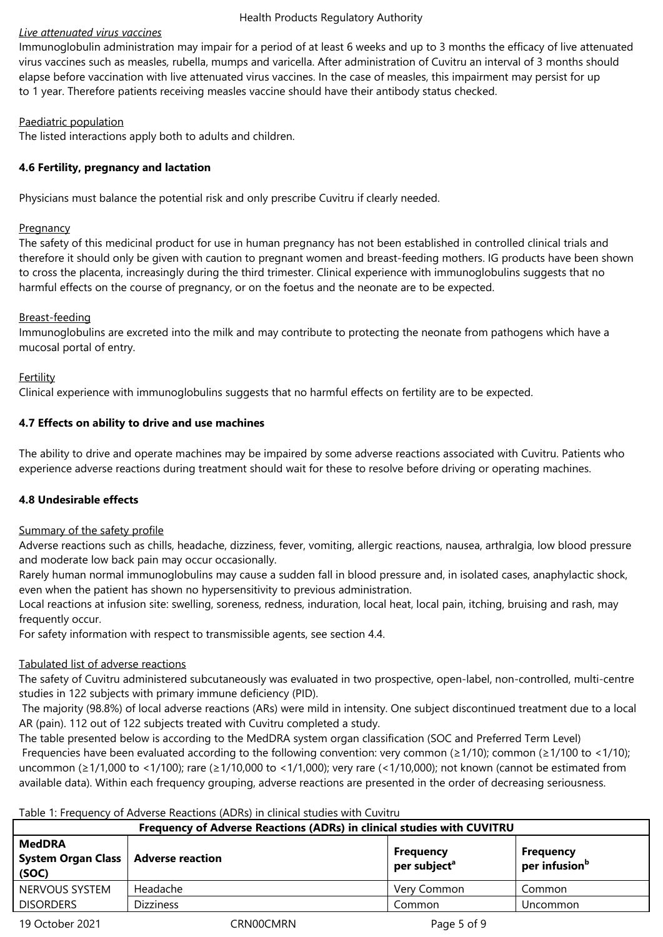## Health Products Regulatory Authority

# *Live attenuated virus vaccines*

Immunoglobulin administration may impair for a period of at least 6 weeks and up to 3 months the efficacy of live attenuated virus vaccines such as measles*,* rubella, mumps and varicella. After administration of Cuvitru an interval of 3 months should elapse before vaccination with live attenuated virus vaccines. In the case of measles, this impairment may persist for up to 1 year. Therefore patients receiving measles vaccine should have their antibody status checked.

# Paediatric population

The listed interactions apply both to adults and children.

# **4.6 Fertility, pregnancy and lactation**

Physicians must balance the potential risk and only prescribe Cuvitru if clearly needed.

## **Pregnancy**

The safety of this medicinal product for use in human pregnancy has not been established in controlled clinical trials and therefore it should only be given with caution to pregnant women and breast-feeding mothers. IG products have been shown to cross the placenta, increasingly during the third trimester. Clinical experience with immunoglobulins suggests that no harmful effects on the course of pregnancy, or on the foetus and the neonate are to be expected.

# Breast-feeding

Immunoglobulins are excreted into the milk and may contribute to protecting the neonate from pathogens which have a mucosal portal of entry.

# Fertility

Clinical experience with immunoglobulins suggests that no harmful effects on fertility are to be expected.

# **4.7 Effects on ability to drive and use machines**

The ability to drive and operate machines may be impaired by some adverse reactions associated with Cuvitru. Patients who experience adverse reactions during treatment should wait for these to resolve before driving or operating machines.

# **4.8 Undesirable effects**

## Summary of the safety profile

Adverse reactions such as chills, headache, dizziness, fever, vomiting, allergic reactions, nausea, arthralgia, low blood pressure and moderate low back pain may occur occasionally.

Rarely human normal immunoglobulins may cause a sudden fall in blood pressure and, in isolated cases, anaphylactic shock, even when the patient has shown no hypersensitivity to previous administration.

Local reactions at infusion site: swelling, soreness, redness, induration, local heat, local pain, itching, bruising and rash, may frequently occur.

For safety information with respect to transmissible agents, see section 4.4.

# Tabulated list of adverse reactions

The safety of Cuvitru administered subcutaneously was evaluated in two prospective, open-label, non-controlled, multi-centre studies in 122 subjects with primary immune deficiency (PID).

 The majority (98.8%) of local adverse reactions (ARs) were mild in intensity. One subject discontinued treatment due to a local AR (pain). 112 out of 122 subjects treated with Cuvitru completed a study.

The table presented below is according to the MedDRA system organ classification (SOC and Preferred Term Level) Frequencies have been evaluated according to the following convention: very common ( $\geq 1/10$ ); common ( $\geq 1/100$  to  $\lt 1/10$ ); uncommon (≥1/1,000 to <1/100); rare (≥1/10,000 to <1/1,000); very rare (<1/10,000); not known (cannot be estimated from available data). Within each frequency grouping, adverse reactions are presented in the order of decreasing seriousness.

## Table 1: Frequency of Adverse Reactions (ADRs) in clinical studies with Cuvitru

| Frequency of Adverse Reactions (ADRs) in clinical studies with CUVITRU |                  |                                              |                                               |  |
|------------------------------------------------------------------------|------------------|----------------------------------------------|-----------------------------------------------|--|
| <b>MedDRA</b><br>System Organ Class   Adverse reaction<br>(SOC)        |                  | <b>Frequency</b><br>per subject <sup>a</sup> | <b>Frequency</b><br>per infusion <sup>b</sup> |  |
| NERVOUS SYSTEM                                                         | Headache         | Very Common                                  | Common                                        |  |
| <b>DISORDERS</b>                                                       | <b>Dizziness</b> | Common                                       | Uncommon                                      |  |
|                                                                        |                  |                                              |                                               |  |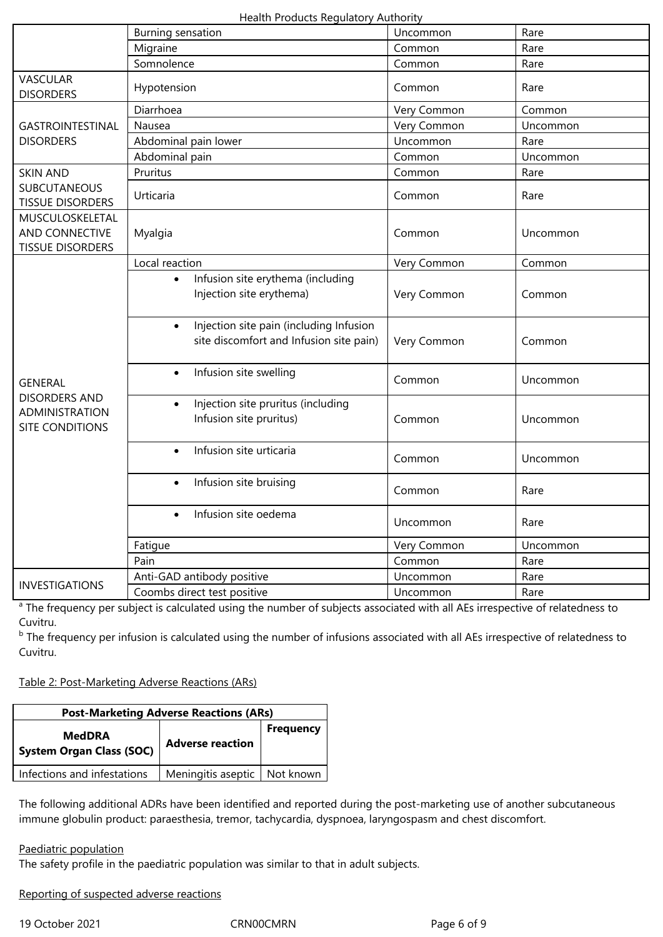Health Products Regulatory Authority

|                                                                                           | Burning sensation                                                                               | Uncommon    | Rare     |
|-------------------------------------------------------------------------------------------|-------------------------------------------------------------------------------------------------|-------------|----------|
|                                                                                           | Migraine                                                                                        | Common      | Rare     |
|                                                                                           | Somnolence                                                                                      | Common      | Rare     |
| <b>VASCULAR</b><br><b>DISORDERS</b>                                                       | Hypotension                                                                                     | Common      | Rare     |
|                                                                                           | Diarrhoea                                                                                       | Very Common | Common   |
| GASTROINTESTINAL                                                                          | Nausea                                                                                          | Very Common | Uncommon |
| <b>DISORDERS</b>                                                                          | Abdominal pain lower                                                                            | Uncommon    | Rare     |
|                                                                                           | Abdominal pain                                                                                  | Common      | Uncommon |
| <b>SKIN AND</b>                                                                           | Pruritus                                                                                        | Common      | Rare     |
| <b>SUBCUTANEOUS</b><br><b>TISSUE DISORDERS</b>                                            | Urticaria                                                                                       | Common      | Rare     |
| MUSCULOSKELETAL<br>AND CONNECTIVE<br><b>TISSUE DISORDERS</b>                              | Myalgia                                                                                         | Common      | Uncommon |
|                                                                                           | Local reaction                                                                                  | Very Common | Common   |
| <b>GENERAL</b><br><b>DISORDERS AND</b><br><b>ADMINISTRATION</b><br><b>SITE CONDITIONS</b> | Infusion site erythema (including<br>$\bullet$<br>Injection site erythema)                      | Very Common | Common   |
|                                                                                           | Injection site pain (including Infusion<br>$\bullet$<br>site discomfort and Infusion site pain) | Very Common | Common   |
|                                                                                           | Infusion site swelling<br>$\bullet$                                                             | Common      | Uncommon |
|                                                                                           | Injection site pruritus (including<br>$\bullet$<br>Infusion site pruritus)                      | Common      | Uncommon |
|                                                                                           | Infusion site urticaria<br>$\bullet$                                                            | Common      | Uncommon |
|                                                                                           | Infusion site bruising<br>$\bullet$                                                             | Common      | Rare     |
|                                                                                           | Infusion site oedema<br>$\bullet$                                                               | Uncommon    | Rare     |
|                                                                                           | Fatigue                                                                                         | Very Common | Uncommon |
|                                                                                           | Pain                                                                                            | Common      | Rare     |
| <b>INVESTIGATIONS</b>                                                                     | Anti-GAD antibody positive                                                                      | Uncommon    | Rare     |
|                                                                                           | Coombs direct test positive                                                                     | Uncommon    | Rare     |

<sup>a</sup> The frequency per subject is calculated using the number of subjects associated with all AEs irrespective of relatedness to Cuvitru.

<sup>b</sup> The frequency per infusion is calculated using the number of infusions associated with all AEs irrespective of relatedness to Cuvitru.

Table 2: Post-Marketing Adverse Reactions (ARs)

| <b>Post-Marketing Adverse Reactions (ARs)</b>    |                                |                  |  |  |
|--------------------------------------------------|--------------------------------|------------------|--|--|
| <b>MedDRA</b><br><b>System Organ Class (SOC)</b> | <b>Adverse reaction</b>        | <b>Frequency</b> |  |  |
| Infections and infestations                      | Meningitis aseptic   Not known |                  |  |  |

The following additional ADRs have been identified and reported during the post-marketing use of another subcutaneous immune globulin product: paraesthesia, tremor, tachycardia, dyspnoea, laryngospasm and chest discomfort.

## Paediatric population

The safety profile in the paediatric population was similar to that in adult subjects.

Reporting of suspected adverse reactions

19 October 2021 CRN00CMRN Page 6 of 9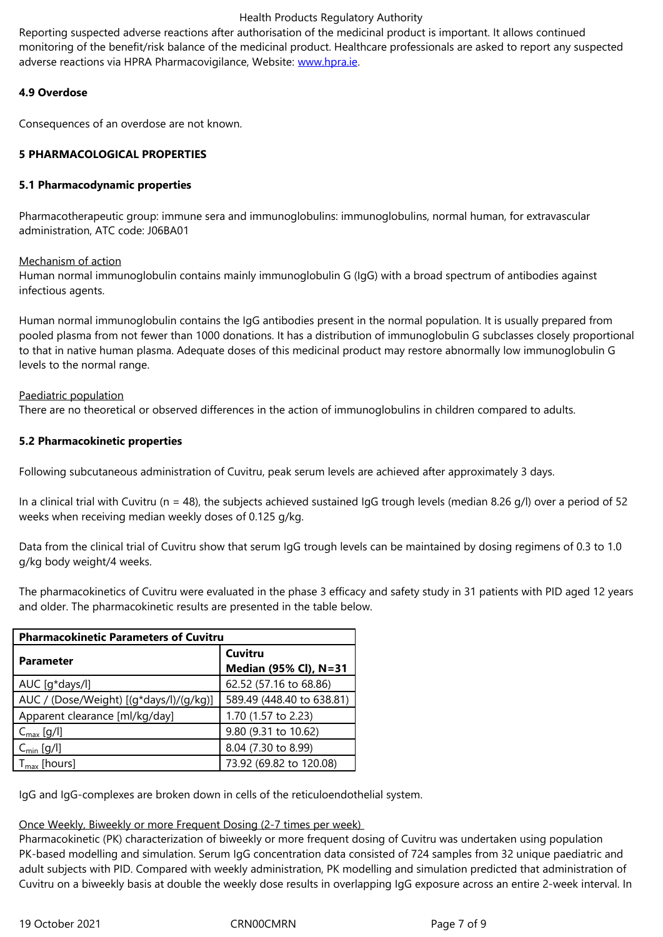adverse reactions via HPRA Pharmacovigilance, Website: www.hpra.ie.

# **4.9 Overdose**

Consequences of an overdose are not known.

# **5 PHARMACOLOGICAL PROPERTIES**

## **5.1 Pharmacodynamic properties**

Pharmacotherapeutic group: immune sera and immunoglobulins: immunoglobulins, normal human, for extravascular administration, ATC code: J06BA01

# Mechanism of action

Human normal immunoglobulin contains mainly immunoglobulin G (IgG) with a broad spectrum of antibodies against infectious agents.

Human normal immunoglobulin contains the IgG antibodies present in the normal population. It is usually prepared from pooled plasma from not fewer than 1000 donations. It has a distribution of immunoglobulin G subclasses closely proportional to that in native human plasma. Adequate doses of this medicinal product may restore abnormally low immunoglobulin G levels to the normal range.

# Paediatric population

There are no theoretical or observed differences in the action of immunoglobulins in children compared to adults.

# **5.2 Pharmacokinetic properties**

Following subcutaneous administration of Cuvitru, peak serum levels are achieved after approximately 3 days.

In a clinical trial with Cuvitru (n = 48), the subjects achieved sustained IgG trough levels (median 8.26 g/l) over a period of 52 weeks when receiving median weekly doses of 0.125 g/kg.

Data from the clinical trial of Cuvitru show that serum IgG trough levels can be maintained by dosing regimens of 0.3 to 1.0 g/kg body weight/4 weeks.

The pharmacokinetics of Cuvitru were evaluated in the phase 3 efficacy and safety study in 31 patients with PID aged 12 years and older. The pharmacokinetic results are presented in the table below.

| <b>Pharmacokinetic Parameters of Cuvitru</b> |                           |  |  |  |
|----------------------------------------------|---------------------------|--|--|--|
| <b>Parameter</b>                             | Cuvitru                   |  |  |  |
|                                              | Median (95% Cl), N=31     |  |  |  |
| AUC [q*days/l]                               | 62.52 (57.16 to 68.86)    |  |  |  |
| AUC / (Dose/Weight) [(g*days/l)/(g/kg)]      | 589.49 (448.40 to 638.81) |  |  |  |
| Apparent clearance [ml/kg/day]               | 1.70 (1.57 to 2.23)       |  |  |  |
| $C_{\text{max}}$ [g/l]                       | 9.80 (9.31 to 10.62)      |  |  |  |
| $C_{\text{min}}$ [g/l]                       | 8.04 (7.30 to 8.99)       |  |  |  |
| $T_{\text{max}}$ [hours]                     | 73.92 (69.82 to 120.08)   |  |  |  |

IgG and IgG-complexes are broken down in cells of the reticuloendothelial system.

## Once Weekly, Biweekly or more Frequent Dosing (2-7 times per week)

Pharmacokinetic (PK) characterization of biweekly or more frequent dosing of Cuvitru was undertaken using population PK-based modelling and simulation. Serum IgG concentration data consisted of 724 samples from 32 unique paediatric and adult subjects with PID. Compared with weekly administration, PK modelling and simulation predicted that administration of Cuvitru on a biweekly basis at double the weekly dose results in overlapping IgG exposure across an entire 2-week interval. In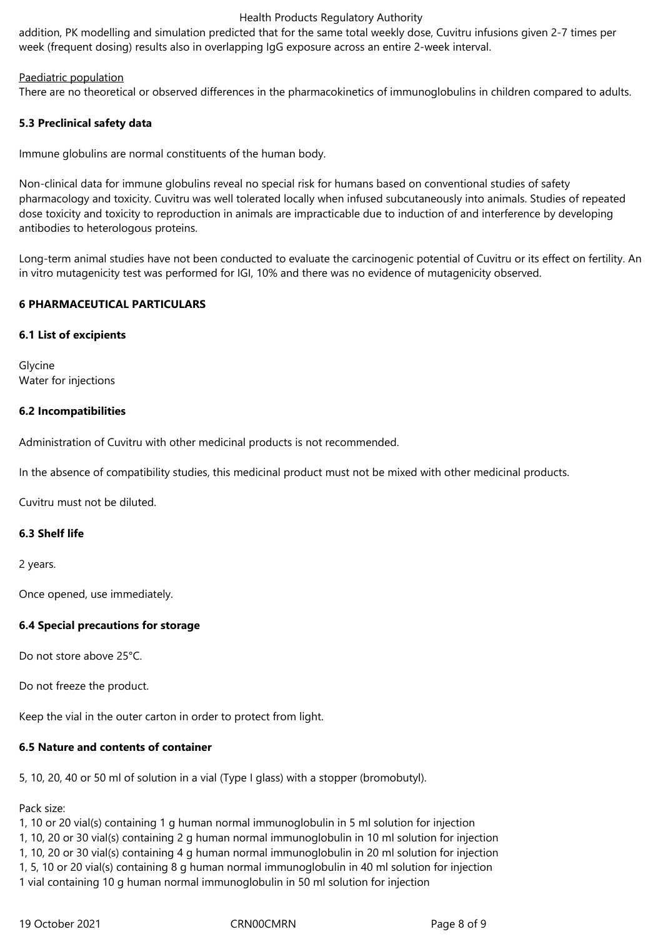#### Health Products Regulatory Authority

addition, PK modelling and simulation predicted that for the same total weekly dose, Cuvitru infusions given 2-7 times per week (frequent dosing) results also in overlapping IgG exposure across an entire 2-week interval.

## Paediatric population

There are no theoretical or observed differences in the pharmacokinetics of immunoglobulins in children compared to adults.

## **5.3 Preclinical safety data**

Immune globulins are normal constituents of the human body.

Non-clinical data for immune globulins reveal no special risk for humans based on conventional studies of safety pharmacology and toxicity. Cuvitru was well tolerated locally when infused subcutaneously into animals. Studies of repeated dose toxicity and toxicity to reproduction in animals are impracticable due to induction of and interference by developing antibodies to heterologous proteins.

Long-term animal studies have not been conducted to evaluate the carcinogenic potential of Cuvitru or its effect on fertility. An in vitro mutagenicity test was performed for IGI, 10% and there was no evidence of mutagenicity observed.

## **6 PHARMACEUTICAL PARTICULARS**

## **6.1 List of excipients**

Glycine Water for injections

# **6.2 Incompatibilities**

Administration of Cuvitru with other medicinal products is not recommended.

In the absence of compatibility studies, this medicinal product must not be mixed with other medicinal products.

Cuvitru must not be diluted.

## **6.3 Shelf life**

2 years.

Once opened, use immediately.

# **6.4 Special precautions for storage**

Do not store above 25°C.

Do not freeze the product.

Keep the vial in the outer carton in order to protect from light.

## **6.5 Nature and contents of container**

5, 10, 20, 40 or 50 ml of solution in a vial (Type I glass) with a stopper (bromobutyl).

Pack size:

1, 10 or 20 vial(s) containing 1 g human normal immunoglobulin in 5 ml solution for injection

1, 10, 20 or 30 vial(s) containing 2 g human normal immunoglobulin in 10 ml solution for injection

1, 10, 20 or 30 vial(s) containing 4 g human normal immunoglobulin in 20 ml solution for injection

1, 5, 10 or 20 vial(s) containing 8 g human normal immunoglobulin in 40 ml solution for injection

1 vial containing 10 g human normal immunoglobulin in 50 ml solution for injection